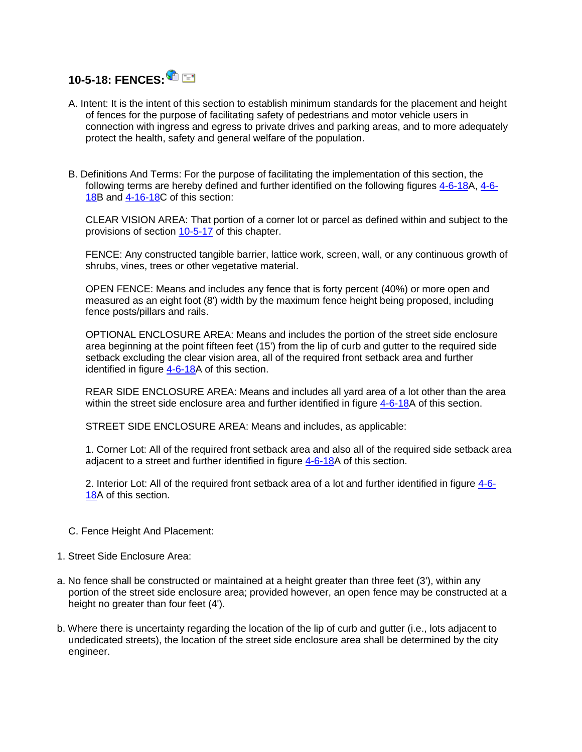

- A. Intent: It is the intent of this section to establish minimum standards for the placement and height of fences for the purpose of facilitating safety of pedestrians and motor vehicle users in connection with ingress and egress to private drives and parking areas, and to more adequately protect the health, safety and general welfare of the population.
- B. Definitions And Terms: For the purpose of facilitating the implementation of this section, the following terms are hereby defined and further identified on the following figures [4-6-18A](https://www.sterlingcodifiers.com/codebook/getBookData.php?ft=3&find=4-6-18), [4-6-](https://www.sterlingcodifiers.com/codebook/getBookData.php?ft=3&find=4-6-18) [18B](https://www.sterlingcodifiers.com/codebook/getBookData.php?ft=3&find=4-6-18) and [4-16-18C](https://www.sterlingcodifiers.com/codebook/getBookData.php?ft=3&find=4-6-18) of this section:

CLEAR VISION AREA: That portion of a corner lot or parcel as defined within and subject to the provisions of section [10-5-17](https://www.sterlingcodifiers.com/codebook/getBookData.php?ft=3&find=10-5-17) of this chapter.

FENCE: Any constructed tangible barrier, lattice work, screen, wall, or any continuous growth of shrubs, vines, trees or other vegetative material.

OPEN FENCE: Means and includes any fence that is forty percent (40%) or more open and measured as an eight foot (8') width by the maximum fence height being proposed, including fence posts/pillars and rails.

OPTIONAL ENCLOSURE AREA: Means and includes the portion of the street side enclosure area beginning at the point fifteen feet (15') from the lip of curb and gutter to the required side setback excluding the clear vision area, all of the required front setback area and further identified in figure  $4-6-18A$  of this section.

REAR SIDE ENCLOSURE AREA: Means and includes all yard area of a lot other than the area within the street side enclosure area and further identified in figure [4-6-18A](https://www.sterlingcodifiers.com/codebook/getBookData.php?ft=3&find=4-6-18) of this section.

STREET SIDE ENCLOSURE AREA: Means and includes, as applicable:

1. Corner Lot: All of the required front setback area and also all of the required side setback area adjacent to a street and further identified in figure [4-6-18A](https://www.sterlingcodifiers.com/codebook/getBookData.php?ft=3&find=4-6-18) of this section.

2. Interior Lot: All of the required front setback area of a lot and further identified in figure [4-6-](https://www.sterlingcodifiers.com/codebook/getBookData.php?ft=3&find=4-6-18) [18A](https://www.sterlingcodifiers.com/codebook/getBookData.php?ft=3&find=4-6-18) of this section.

- C. Fence Height And Placement:
- 1. Street Side Enclosure Area:
- a. No fence shall be constructed or maintained at a height greater than three feet (3'), within any portion of the street side enclosure area; provided however, an open fence may be constructed at a height no greater than four feet (4').
- b. Where there is uncertainty regarding the location of the lip of curb and gutter (i.e., lots adjacent to undedicated streets), the location of the street side enclosure area shall be determined by the city engineer.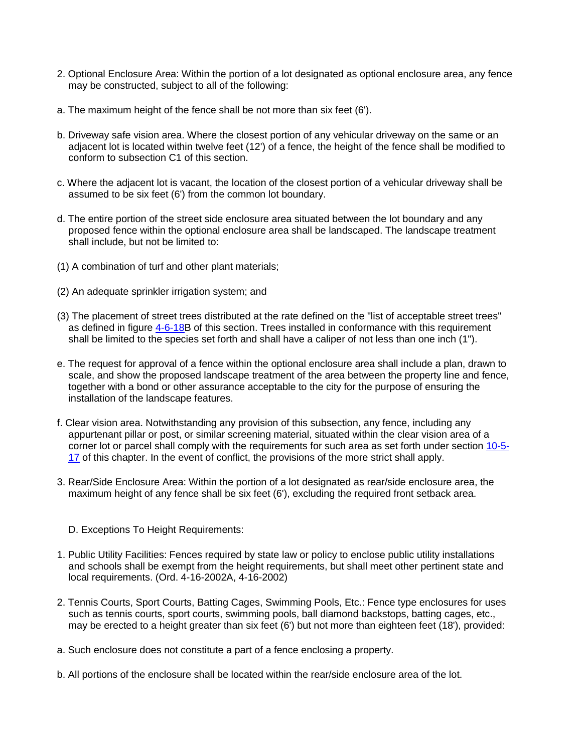- 2. Optional Enclosure Area: Within the portion of a lot designated as optional enclosure area, any fence may be constructed, subject to all of the following:
- a. The maximum height of the fence shall be not more than six feet (6').
- b. Driveway safe vision area. Where the closest portion of any vehicular driveway on the same or an adjacent lot is located within twelve feet (12') of a fence, the height of the fence shall be modified to conform to subsection C1 of this section.
- c. Where the adjacent lot is vacant, the location of the closest portion of a vehicular driveway shall be assumed to be six feet (6') from the common lot boundary.
- d. The entire portion of the street side enclosure area situated between the lot boundary and any proposed fence within the optional enclosure area shall be landscaped. The landscape treatment shall include, but not be limited to:
- (1) A combination of turf and other plant materials;
- (2) An adequate sprinkler irrigation system; and
- (3) The placement of street trees distributed at the rate defined on the "list of acceptable street trees" as defined in figure [4-6-18B](https://www.sterlingcodifiers.com/codebook/getBookData.php?ft=3&find=4-6-18) of this section. Trees installed in conformance with this requirement shall be limited to the species set forth and shall have a caliper of not less than one inch (1").
- e. The request for approval of a fence within the optional enclosure area shall include a plan, drawn to scale, and show the proposed landscape treatment of the area between the property line and fence, together with a bond or other assurance acceptable to the city for the purpose of ensuring the installation of the landscape features.
- f. Clear vision area. Notwithstanding any provision of this subsection, any fence, including any appurtenant pillar or post, or similar screening material, situated within the clear vision area of a corner lot or parcel shall comply with the requirements for such area as set forth under section [10-5-](https://www.sterlingcodifiers.com/codebook/getBookData.php?ft=3&find=10-5-17) [17](https://www.sterlingcodifiers.com/codebook/getBookData.php?ft=3&find=10-5-17) of this chapter. In the event of conflict, the provisions of the more strict shall apply.
- 3. Rear/Side Enclosure Area: Within the portion of a lot designated as rear/side enclosure area, the maximum height of any fence shall be six feet (6'), excluding the required front setback area.
	- D. Exceptions To Height Requirements:
- 1. Public Utility Facilities: Fences required by state law or policy to enclose public utility installations and schools shall be exempt from the height requirements, but shall meet other pertinent state and local requirements. (Ord. 4-16-2002A, 4-16-2002)
- 2. Tennis Courts, Sport Courts, Batting Cages, Swimming Pools, Etc.: Fence type enclosures for uses such as tennis courts, sport courts, swimming pools, ball diamond backstops, batting cages, etc., may be erected to a height greater than six feet (6') but not more than eighteen feet (18'), provided:
- a. Such enclosure does not constitute a part of a fence enclosing a property.
- b. All portions of the enclosure shall be located within the rear/side enclosure area of the lot.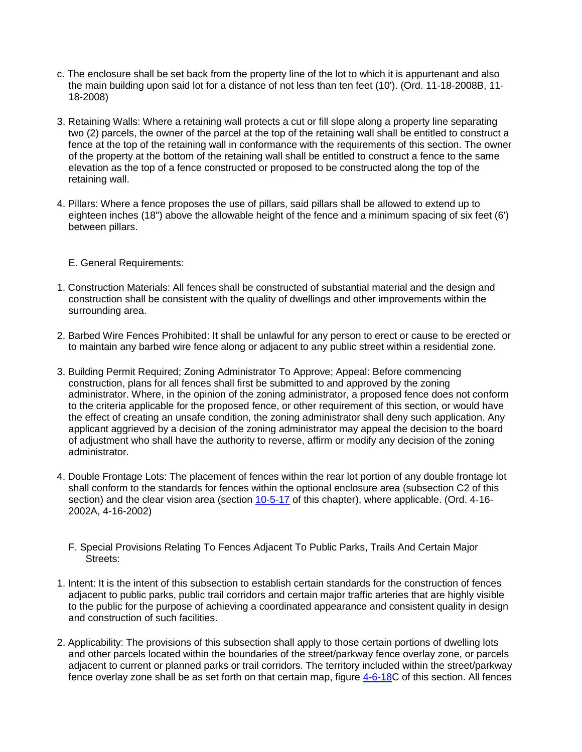- c. The enclosure shall be set back from the property line of the lot to which it is appurtenant and also the main building upon said lot for a distance of not less than ten feet (10'). (Ord. 11-18-2008B, 11- 18-2008)
- 3. Retaining Walls: Where a retaining wall protects a cut or fill slope along a property line separating two (2) parcels, the owner of the parcel at the top of the retaining wall shall be entitled to construct a fence at the top of the retaining wall in conformance with the requirements of this section. The owner of the property at the bottom of the retaining wall shall be entitled to construct a fence to the same elevation as the top of a fence constructed or proposed to be constructed along the top of the retaining wall.
- 4. Pillars: Where a fence proposes the use of pillars, said pillars shall be allowed to extend up to eighteen inches (18") above the allowable height of the fence and a minimum spacing of six feet (6') between pillars.
	- E. General Requirements:
- 1. Construction Materials: All fences shall be constructed of substantial material and the design and construction shall be consistent with the quality of dwellings and other improvements within the surrounding area.
- 2. Barbed Wire Fences Prohibited: It shall be unlawful for any person to erect or cause to be erected or to maintain any barbed wire fence along or adjacent to any public street within a residential zone.
- 3. Building Permit Required; Zoning Administrator To Approve; Appeal: Before commencing construction, plans for all fences shall first be submitted to and approved by the zoning administrator. Where, in the opinion of the zoning administrator, a proposed fence does not conform to the criteria applicable for the proposed fence, or other requirement of this section, or would have the effect of creating an unsafe condition, the zoning administrator shall deny such application. Any applicant aggrieved by a decision of the zoning administrator may appeal the decision to the board of adjustment who shall have the authority to reverse, affirm or modify any decision of the zoning administrator.
- 4. Double Frontage Lots: The placement of fences within the rear lot portion of any double frontage lot shall conform to the standards for fences within the optional enclosure area (subsection C2 of this section) and the clear vision area (section [10-5-17](https://www.sterlingcodifiers.com/codebook/getBookData.php?ft=3&find=10-5-17) of this chapter), where applicable. (Ord. 4-16-2002A, 4-16-2002)
	- F. Special Provisions Relating To Fences Adjacent To Public Parks, Trails And Certain Major Streets:
- 1. Intent: It is the intent of this subsection to establish certain standards for the construction of fences adjacent to public parks, public trail corridors and certain major traffic arteries that are highly visible to the public for the purpose of achieving a coordinated appearance and consistent quality in design and construction of such facilities.
- 2. Applicability: The provisions of this subsection shall apply to those certain portions of dwelling lots and other parcels located within the boundaries of the street/parkway fence overlay zone, or parcels adjacent to current or planned parks or trail corridors. The territory included within the street/parkway fence overlay zone shall be as set forth on that certain map, figure [4-6-18C](https://www.sterlingcodifiers.com/codebook/getBookData.php?ft=3&find=4-6-18) of this section. All fences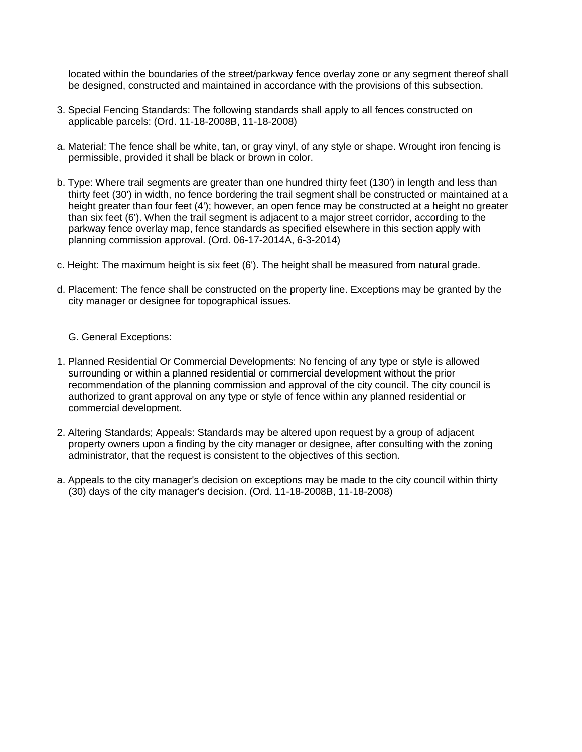located within the boundaries of the street/parkway fence overlay zone or any segment thereof shall be designed, constructed and maintained in accordance with the provisions of this subsection.

- 3. Special Fencing Standards: The following standards shall apply to all fences constructed on applicable parcels: (Ord. 11-18-2008B, 11-18-2008)
- a. Material: The fence shall be white, tan, or gray vinyl, of any style or shape. Wrought iron fencing is permissible, provided it shall be black or brown in color.
- b. Type: Where trail segments are greater than one hundred thirty feet (130') in length and less than thirty feet (30') in width, no fence bordering the trail segment shall be constructed or maintained at a height greater than four feet (4'); however, an open fence may be constructed at a height no greater than six feet (6'). When the trail segment is adjacent to a major street corridor, according to the parkway fence overlay map, fence standards as specified elsewhere in this section apply with planning commission approval. (Ord. 06-17-2014A, 6-3-2014)
- c. Height: The maximum height is six feet (6'). The height shall be measured from natural grade.
- d. Placement: The fence shall be constructed on the property line. Exceptions may be granted by the city manager or designee for topographical issues.

## G. General Exceptions:

- 1. Planned Residential Or Commercial Developments: No fencing of any type or style is allowed surrounding or within a planned residential or commercial development without the prior recommendation of the planning commission and approval of the city council. The city council is authorized to grant approval on any type or style of fence within any planned residential or commercial development.
- 2. Altering Standards; Appeals: Standards may be altered upon request by a group of adjacent property owners upon a finding by the city manager or designee, after consulting with the zoning administrator, that the request is consistent to the objectives of this section.
- a. Appeals to the city manager's decision on exceptions may be made to the city council within thirty (30) days of the city manager's decision. (Ord. 11-18-2008B, 11-18-2008)